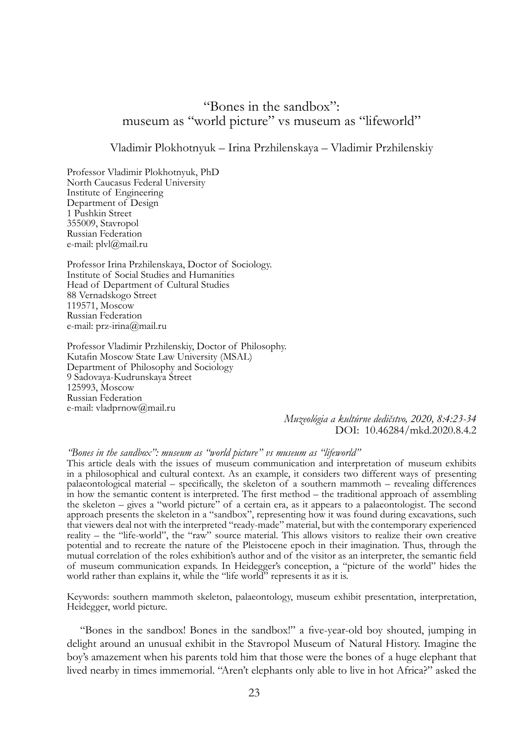## "Bones in the sandbox": museum as "world picture" vs museum as "lifeworld"

## Vladimir Plokhotnyuk – Irina Przhilenskaya – Vladimir Przhilenskiy

Professor Vladimir Plokhotnyuk, PhD North Caucasus Federal University Institute of Engineering Department of Design 1 Pushkin Street 355009, Stavropol Russian Federation e-mail: plvl@mail.ru

Professor Irina Przhilenskaya, Doctor of Sociology. Institute of Social Studies and Humanities Head of Department of Cultural Studies 88 Vernadskogo Street 119571, Moscow Russian Federation e-mail: prz-irina@mail.ru

Professor Vladimir Przhilenskiy, Doctor of Philosophy. Kutafin Moscow State Law University (MSAL) Department of Philosophy and Sociology 9 Sadovaya-Kudrunskaya Street 125993, Moscow Russian Federation e-mail: vladprnow@mail.ru

> *Muzeológia a kultúrne dedičstvo, 2020, 8:4:23-34* DOI: 10.46284/mkd.2020.8.4.2

## *"Bones in the sandbox": museum as "world picture" vs museum as "lifeworld"*

This article deals with the issues of museum communication and interpretation of museum exhibits in a philosophical and cultural context. As an example, it considers two different ways of presenting palaeontological material – specifically, the skeleton of a southern mammoth – revealing differences in how the semantic content is interpreted. The first method – the traditional approach of assembling the skeleton – gives a "world picture" of a certain era, as it appears to a palaeontologist. The second approach presents the skeleton in a "sandbox", representing how it was found during excavations, such that viewers deal not with the interpreted "ready-made" material, but with the contemporary experienced reality – the "life-world", the "raw" source material. This allows visitors to realize their own creative potential and to recreate the nature of the Pleistocene epoch in their imagination. Thus, through the mutual correlation of the roles exhibition's author and of the visitor as an interpreter, the semantic field of museum communication expands. In Heidegger's conception, a "picture of the world" hides the world rather than explains it, while the "life world" represents it as it is.

Keywords: southern mammoth skeleton, palaeontology, museum exhibit presentation, interpretation, Heidegger, world picture.

"Bones in the sandbox! Bones in the sandbox!" a five-year-old boy shouted, jumping in delight around an unusual exhibit in the Stavropol Museum of Natural History. Imagine the boy's amazement when his parents told him that those were the bones of a huge elephant that lived nearby in times immemorial. "Aren't elephants only able to live in hot Africa?" asked the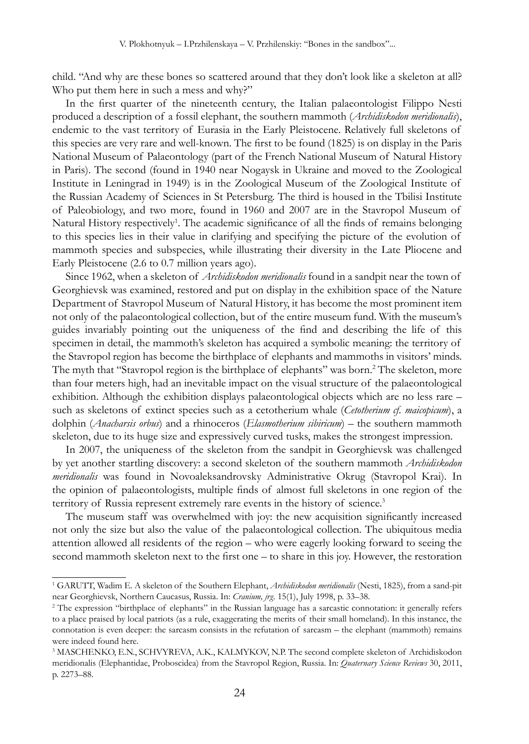child. "And why are these bones so scattered around that they don't look like a skeleton at all? Who put them here in such a mess and why?"

In the first quarter of the nineteenth century, the Italian palaeontologist Filippo Nesti produced a description of a fossil elephant, the southern mammoth (*Archidiskodon meridionalis*), endemic to the vast territory of Eurasia in the Early Pleistocene. Relatively full skeletons of this species are very rare and well-known. The first to be found (1825) is on display in the Paris National Museum of Palaeontology (part of the French National Museum of Natural History in Paris). The second (found in 1940 near Nogaysk in Ukraine and moved to the Zoological Institute in Leningrad in 1949) is in the Zoological Museum of the Zoological Institute of the Russian Academy of Sciences in St Petersburg. The third is housed in the Tbilisi Institute of Paleobiology, and two more, found in 1960 and 2007 are in the Stavropol Museum of Natural History respectively<sup>1</sup>. The academic significance of all the finds of remains belonging to this species lies in their value in clarifying and specifying the picture of the evolution of mammoth species and subspecies, while illustrating their diversity in the Late Pliocene and Early Pleistocene (2.6 to 0.7 million years ago).

Since 1962, when a skeleton of *Archidiskodon meridionalis* found in a sandpit near the town of Georghievsk was examined, restored and put on display in the exhibition space of the Nature Department of Stavropol Museum of Natural History, it has become the most prominent item not only of the palaeontological collection, but of the entire museum fund. With the museum's guides invariably pointing out the uniqueness of the find and describing the life of this specimen in detail, the mammoth's skeleton has acquired a symbolic meaning: the territory of the Stavropol region has become the birthplace of elephants and mammoths in visitors' minds. The myth that "Stavropol region is the birthplace of elephants" was born.<sup>2</sup> The skeleton, more than four meters high, had an inevitable impact on the visual structure of the palaeontological exhibition. Although the exhibition displays palaeontological objects which are no less rare – such as skeletons of extinct species such as a cetotherium whale (*Cetotherium cf. maicopicum*), a dolphin (*Anacharsis orbus*) and a rhinoceros (*Elasmotherium sibiricum*) – the southern mammoth skeleton, due to its huge size and expressively curved tusks, makes the strongest impression.

In 2007, the uniqueness of the skeleton from the sandpit in Georghievsk was challenged by yet another startling discovery: a second skeleton of the southern mammoth *Archidiskodon meridionalis* was found in Novoaleksandrovsky Administrative Okrug (Stavropol Krai). In the opinion of palaeontologists, multiple finds of almost full skeletons in one region of the territory of Russia represent extremely rare events in the history of science.<sup>3</sup>

The museum staff was overwhelmed with joy: the new acquisition significantly increased not only the size but also the value of the palaeontological collection. The ubiquitous media attention allowed all residents of the region – who were eagerly looking forward to seeing the second mammoth skeleton next to the first one – to share in this joy. However, the restoration

<sup>1</sup> GARUTT, Wadim E. A skeleton of the Southern Elephant, *Archidiskodon meridionalis* (Nesti, 1825), from a sand-pit near Georghievsk, Northern Caucasus, Russia. In: *Cranium, jrg.* 15(1), July 1998, p. 33–38.

<sup>2</sup> The expression "birthplace of elephants" in the Russian language has a sarcastic connotation: it generally refers to a place praised by local patriots (as a rule, exaggerating the merits of their small homeland). In this instance, the connotation is even deeper: the sarcasm consists in the refutation of sarcasm – the elephant (mammoth) remains were indeed found here.

<sup>&</sup>lt;sup>3</sup> MASCHENKO, E.N., SCHVYREVA, A.K., KALMYKOV, N.P. The second complete skeleton of Archidiskodon meridionalis (Elephantidae, Proboscidea) from the Stavropol Region, Russia. In: *Quaternary Science Reviews* 30, 2011, p. 2273–88.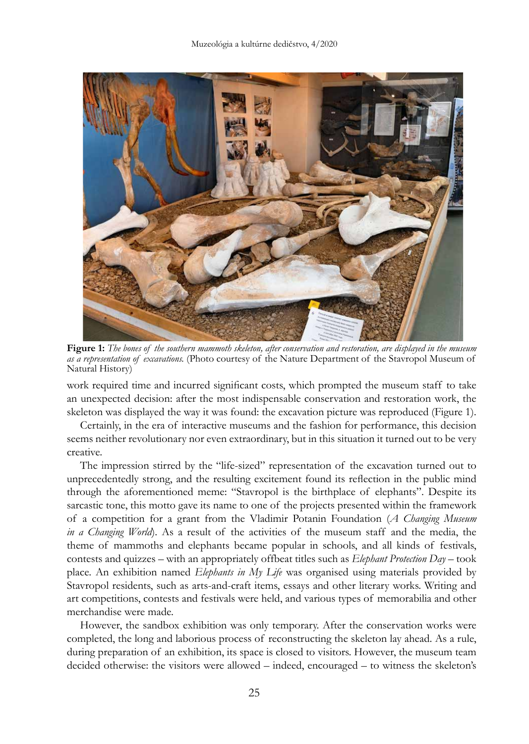

**Figure 1:** *The bones of the southern mammoth skeleton, after conservation and restoration, are displayed in the museum as a representation of excavations.* (Photo courtesy of the Nature Department of the Stavropol Museum of Natural History)

work required time and incurred significant costs, which prompted the museum staff to take an unexpected decision: after the most indispensable conservation and restoration work, the skeleton was displayed the way it was found: the excavation picture was reproduced (Figure 1).

Certainly, in the era of interactive museums and the fashion for performance, this decision seems neither revolutionary nor even extraordinary, but in this situation it turned out to be very creative.

The impression stirred by the "life-sized" representation of the excavation turned out to unprecedentedly strong, and the resulting excitement found its reflection in the public mind through the aforementioned meme: "Stavropol is the birthplace of elephants". Despite its sarcastic tone, this motto gave its name to one of the projects presented within the framework of a competition for a grant from the Vladimir Potanin Foundation (*A Changing Museum in a Changing World*). As a result of the activities of the museum staff and the media, the theme of mammoths and elephants became popular in schools, and all kinds of festivals, contests and quizzes – with an appropriately offbeat titles such as *Elephant Protection Day* – took place. An exhibition named *Elephants in My Life* was organised using materials provided by Stavropol residents, such as arts-and-craft items, essays and other literary works. Writing and art competitions, contests and festivals were held, and various types of memorabilia and other merchandise were made.

However, the sandbox exhibition was only temporary. After the conservation works were completed, the long and laborious process of reconstructing the skeleton lay ahead. As a rule, during preparation of an exhibition, its space is closed to visitors. However, the museum team decided otherwise: the visitors were allowed – indeed, encouraged – to witness the skeleton's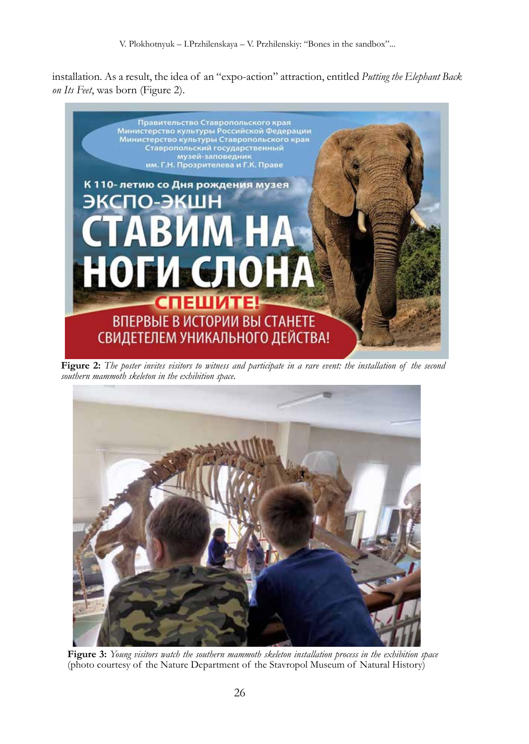installation. As a result, the idea of an "expo-action" attraction, entitled *Putting the Elephant Back on Its Feet*, was born (Figure 2).



**Figure 2:** *The poster invites visitors to witness and participate in a rare event: the installation of the second southern mammoth skeleton in the exhibition space*.



**Figure 3:** *Young visitors watch the southern mammoth skeleton installation process in the exhibition space* (photo courtesy of the Nature Department of the Stavropol Museum of Natural History)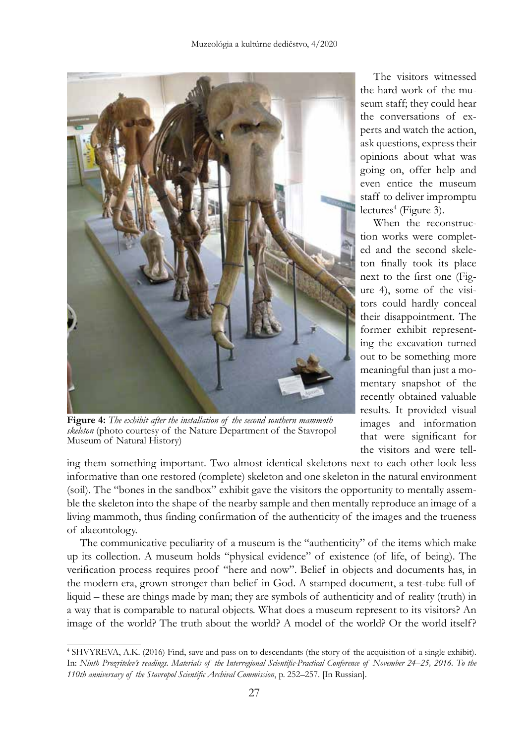

**Figure 4:** *The exhibit after the installation of the second southern mammoth skeleton* (photo courtesy of the Nature Department of the Stavropol Museum of Natural History)

The visitors witnessed the hard work of the museum staff; they could hear the conversations of experts and watch the action, ask questions, express their opinions about what was going on, offer help and even entice the museum staff to deliver impromptu lectures<sup>4</sup> (Figure 3).

When the reconstruction works were completed and the second skeleton finally took its place next to the first one (Figure 4), some of the visitors could hardly conceal their disappointment. The former exhibit representing the excavation turned out to be something more meaningful than just a momentary snapshot of the recently obtained valuable results. It provided visual images and information that were significant for the visitors and were tell-

ing them something important. Two almost identical skeletons next to each other look less informative than one restored (complete) skeleton and one skeleton in the natural environment (soil). The "bones in the sandbox" exhibit gave the visitors the opportunity to mentally assemble the skeleton into the shape of the nearby sample and then mentally reproduce an image of a living mammoth, thus finding confirmation of the authenticity of the images and the trueness of alaeontology.

The communicative peculiarity of a museum is the "authenticity" of the items which make up its collection. A museum holds "physical evidence" of existence (of life, of being). The verification process requires proof "here and now". Belief in objects and documents has, in the modern era, grown stronger than belief in God. A stamped document, a test-tube full of liquid – these are things made by man; they are symbols of authenticity and of reality (truth) in a way that is comparable to natural objects. What does a museum represent to its visitors? An image of the world? The truth about the world? A model of the world? Or the world itself?

<sup>4</sup> SHVYREVA, A.K. (2016) Find, save and pass on to descendants (the story of the acquisition of a single exhibit). In: *Ninth Prozritelev's readings. Materials of the Interregional Scientific-Practical Conference of November 24–25, 2016. To the 110th anniversary of the Stavropol Scientific Archival Commission*, p. 252–257. [In Russian].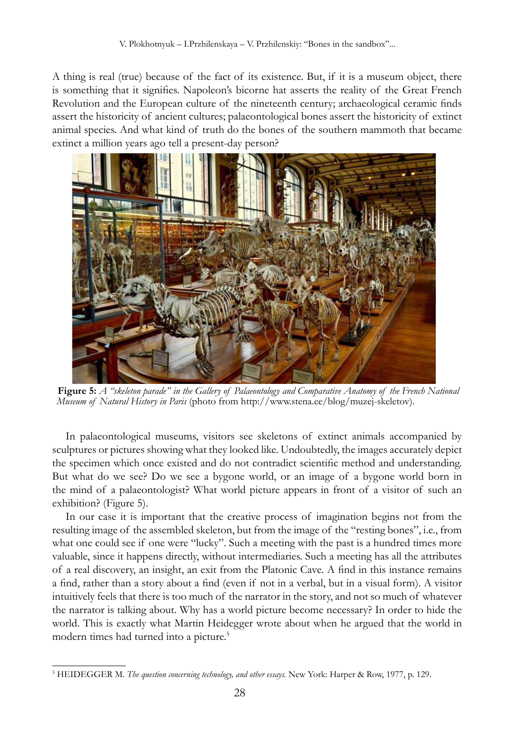A thing is real (true) because of the fact of its existence. But, if it is a museum object, there is something that it signifies. Napoleon's bicorne hat asserts the reality of the Great French Revolution and the European culture of the nineteenth century; archaeological ceramic finds assert the historicity of ancient cultures; palaeontological bones assert the historicity of extinct animal species. And what kind of truth do the bones of the southern mammoth that became extinct a million years ago tell a present-day person?



**Figure 5:** *A "skeleton parade" in the Gallery of Palaeontology and Comparative Anatomy of the French National Museum of Natural History in Paris* (photo from http://www.stena.ee/blog/muzej-skeletov).

In palaeontological museums, visitors see skeletons of extinct animals accompanied by sculptures or pictures showing what they looked like. Undoubtedly, the images accurately depict the specimen which once existed and do not contradict scientific method and understanding. But what do we see? Do we see a bygone world, or an image of a bygone world born in the mind of a palaeontologist? What world picture appears in front of a visitor of such an exhibition? (Figure 5).

In our case it is important that the creative process of imagination begins not from the resulting image of the assembled skeleton, but from the image of the "resting bones", i.e., from what one could see if one were "lucky". Such a meeting with the past is a hundred times more valuable, since it happens directly, without intermediaries. Such a meeting has all the attributes of a real discovery, an insight, an exit from the Platonic Cave. A find in this instance remains a find, rather than a story about a find (even if not in a verbal, but in a visual form). A visitor intuitively feels that there is too much of the narrator in the story, and not so much of whatever the narrator is talking about. Why has a world picture become necessary? In order to hide the world. This is exactly what Martin Heidegger wrote about when he argued that the world in modern times had turned into a picture.<sup>5</sup>

<sup>5</sup> HEIDEGGER M. *The question concerning technology, and other essays.* New York: Harper & Row, 1977, p. 129.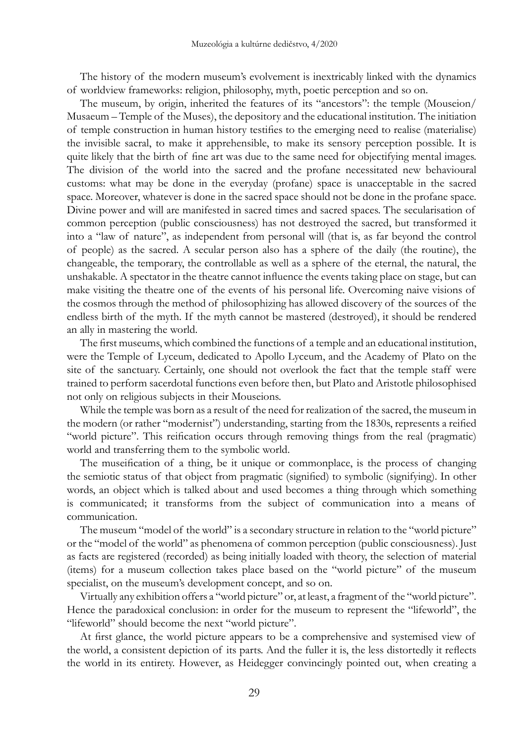The history of the modern museum's evolvement is inextricably linked with the dynamics of worldview frameworks: religion, philosophy, myth, poetic perception and so on.

The museum, by origin, inherited the features of its "ancestors": the temple (Mouseion/ Musaeum – Temple of the Muses), the depository and the educational institution. The initiation of temple construction in human history testifies to the emerging need to realise (materialise) the invisible sacral, to make it apprehensible, to make its sensory perception possible. It is quite likely that the birth of fine art was due to the same need for objectifying mental images. The division of the world into the sacred and the profane necessitated new behavioural customs: what may be done in the everyday (profane) space is unacceptable in the sacred space. Moreover, whatever is done in the sacred space should not be done in the profane space. Divine power and will are manifested in sacred times and sacred spaces. The secularisation of common perception (public consciousness) has not destroyed the sacred, but transformed it into a "law of nature", as independent from personal will (that is, as far beyond the control of people) as the sacred. A secular person also has a sphere of the daily (the routine), the changeable, the temporary, the controllable as well as a sphere of the eternal, the natural, the unshakable. A spectator in the theatre cannot influence the events taking place on stage, but can make visiting the theatre one of the events of his personal life. Overcoming naive visions of the cosmos through the method of philosophizing has allowed discovery of the sources of the endless birth of the myth. If the myth cannot be mastered (destroyed), it should be rendered an ally in mastering the world.

The first museums, which combined the functions of a temple and an educational institution, were the Temple of Lyceum, dedicated to Apollo Lyceum, and the Academy of Plato on the site of the sanctuary. Certainly, one should not overlook the fact that the temple staff were trained to perform sacerdotal functions even before then, but Plato and Aristotle philosophised not only on religious subjects in their Mouseions.

While the temple was born as a result of the need for realization of the sacred, the museum in the modern (or rather "modernist") understanding, starting from the 1830s, represents a reified "world picture". This reification occurs through removing things from the real (pragmatic) world and transferring them to the symbolic world.

The museification of a thing, be it unique or commonplace, is the process of changing the semiotic status of that object from pragmatic (signified) to symbolic (signifying). In other words, an object which is talked about and used becomes a thing through which something is communicated; it transforms from the subject of communication into a means of communication.

The museum "model of the world" is a secondary structure in relation to the "world picture" or the "model of the world" as phenomena of common perception (public consciousness). Just as facts are registered (recorded) as being initially loaded with theory, the selection of material (items) for a museum collection takes place based on the "world picture" of the museum specialist, on the museum's development concept, and so on.

Virtually any exhibition offers a "world picture" or, at least, a fragment of the "world picture". Hence the paradoxical conclusion: in order for the museum to represent the "lifeworld", the "lifeworld" should become the next "world picture".

At first glance, the world picture appears to be a comprehensive and systemised view of the world, a consistent depiction of its parts. And the fuller it is, the less distortedly it reflects the world in its entirety. However, as Heidegger convincingly pointed out, when creating a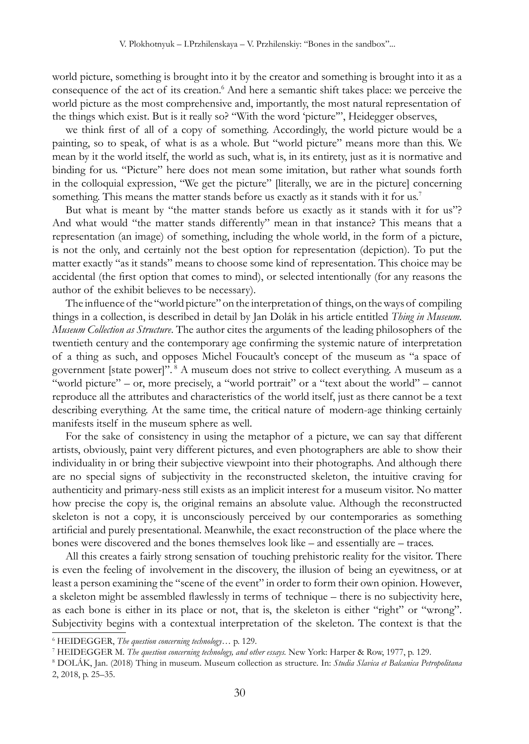world picture, something is brought into it by the creator and something is brought into it as a consequence of the act of its creation.<sup>6</sup> And here a semantic shift takes place: we perceive the world picture as the most comprehensive and, importantly, the most natural representation of the things which exist. But is it really so? "With the word 'picture'", Heidegger observes,

we think first of all of a copy of something. Accordingly, the world picture would be a painting, so to speak, of what is as a whole. But "world picture" means more than this. We mean by it the world itself, the world as such, what is, in its entirety, just as it is normative and binding for us. "Picture" here does not mean some imitation, but rather what sounds forth in the colloquial expression, "We get the picture" [literally, we are in the picture] concerning something. This means the matter stands before us exactly as it stands with it for us.<sup>7</sup>

But what is meant by "the matter stands before us exactly as it stands with it for us"? And what would "the matter stands differently" mean in that instance? This means that a representation (an image) of something, including the whole world, in the form of a picture, is not the only, and certainly not the best option for representation (depiction). To put the matter exactly "as it stands" means to choose some kind of representation. This choice may be accidental (the first option that comes to mind), or selected intentionally (for any reasons the author of the exhibit believes to be necessary).

The influence of the "world picture" on the interpretation of things, on the ways of compiling things in a collection, is described in detail by Jan Dolák in his article entitled *Thing in Museum. Museum Collection as Structure*. The author cites the arguments of the leading philosophers of the twentieth century and the contemporary age confirming the systemic nature of interpretation of a thing as such, and opposes Michel Foucault's concept of the museum as "a space of government [state power]". <sup>8</sup> A museum does not strive to collect everything. A museum as a "world picture" – or, more precisely, a "world portrait" or a "text about the world" – cannot reproduce all the attributes and characteristics of the world itself, just as there cannot be a text describing everything. At the same time, the critical nature of modern-age thinking certainly manifests itself in the museum sphere as well.

For the sake of consistency in using the metaphor of a picture, we can say that different artists, obviously, paint very different pictures, and even photographers are able to show their individuality in or bring their subjective viewpoint into their photographs. And although there are no special signs of subjectivity in the reconstructed skeleton, the intuitive craving for authenticity and primary-ness still exists as an implicit interest for a museum visitor. No matter how precise the copy is, the original remains an absolute value. Although the reconstructed skeleton is not a copy, it is unconsciously perceived by our contemporaries as something artificial and purely presentational. Meanwhile, the exact reconstruction of the place where the bones were discovered and the bones themselves look like – and essentially are – traces.

All this creates a fairly strong sensation of touching prehistoric reality for the visitor. There is even the feeling of involvement in the discovery, the illusion of being an eyewitness, or at least a person examining the "scene of the event" in order to form their own opinion. However, a skeleton might be assembled flawlessly in terms of technique – there is no subjectivity here, as each bone is either in its place or not, that is, the skeleton is either "right" or "wrong". Subjectivity begins with a contextual interpretation of the skeleton. The context is that the

<sup>6</sup> HEIDEGGER, *The question concerning technology…* p. 129.

<sup>7</sup> HEIDEGGER M. *The question concerning technology, and other essays.* New York: Harper & Row, 1977, p. 129.

<sup>8</sup> DOLÁK, Jan. (2018) Thing in museum. Museum collection as structure. In: *Studia Slavica et Balcanica Petropolitana* 2, 2018, p. 25–35.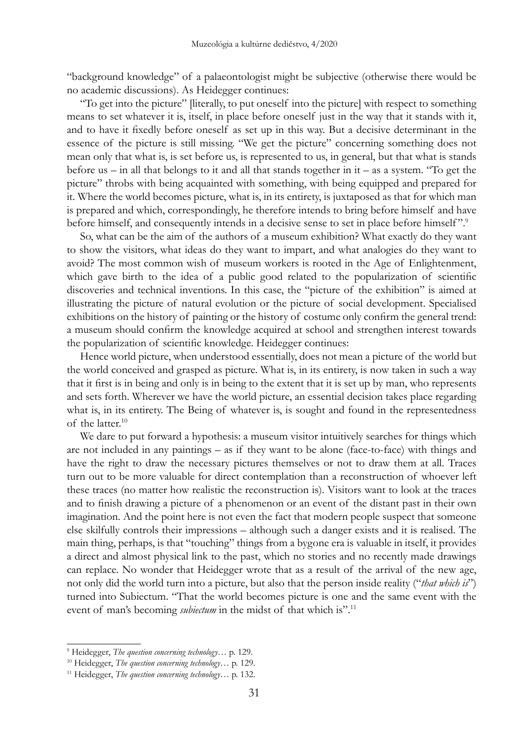"background knowledge" of a palaeontologist might be subjective (otherwise there would be no academic discussions). As Heidegger continues:

"To get into the picture" [literally, to put oneself into the picture] with respect to something means to set whatever it is, itself, in place before oneself just in the way that it stands with it, and to have it fixedly before oneself as set up in this way. But a decisive determinant in the essence of the picture is still missing. "We get the picture" concerning something does not mean only that what is, is set before us, is represented to us, in general, but that what is stands before us – in all that belongs to it and all that stands together in it – as a system. "To get the picture" throbs with being acquainted with something, with being equipped and prepared for it. Where the world becomes picture, what is, in its entirety, is juxtaposed as that for which man is prepared and which, correspondingly, he therefore intends to bring before himself and have before himself, and consequently intends in a decisive sense to set in place before himself".<sup>9</sup>

So, what can be the aim of the authors of a museum exhibition? What exactly do they want to show the visitors, what ideas do they want to impart, and what analogies do they want to avoid? The most common wish of museum workers is rooted in the Age of Enlightenment, which gave birth to the idea of a public good related to the popularization of scientific discoveries and technical inventions. In this case, the "picture of the exhibition" is aimed at illustrating the picture of natural evolution or the picture of social development. Specialised exhibitions on the history of painting or the history of costume only confirm the general trend: a museum should confirm the knowledge acquired at school and strengthen interest towards the popularization of scientific knowledge. Heidegger continues:

Hence world picture, when understood essentially, does not mean a picture of the world but the world conceived and grasped as picture. What is, in its entirety, is now taken in such a way that it first is in being and only is in being to the extent that it is set up by man, who represents and sets forth. Wherever we have the world picture, an essential decision takes place regarding what is, in its entirety. The Being of whatever is, is sought and found in the representedness of the latter.10

We dare to put forward a hypothesis: a museum visitor intuitively searches for things which are not included in any paintings – as if they want to be alone (face-to-face) with things and have the right to draw the necessary pictures themselves or not to draw them at all. Traces turn out to be more valuable for direct contemplation than a reconstruction of whoever left these traces (no matter how realistic the reconstruction is). Visitors want to look at the traces and to finish drawing a picture of a phenomenon or an event of the distant past in their own imagination. And the point here is not even the fact that modern people suspect that someone else skilfully controls their impressions – although such a danger exists and it is realised. The main thing, perhaps, is that "touching" things from a bygone era is valuable in itself, it provides a direct and almost physical link to the past, which no stories and no recently made drawings can replace. No wonder that Heidegger wrote that as a result of the arrival of the new age, not only did the world turn into a picture, but also that the person inside reality ("*that which is*") turned into Subiectum. "That the world becomes picture is one and the same event with the event of man's becoming *subiectum* in the midst of that which is".<sup>11</sup>

<sup>9</sup> Heidegger, *The question concerning technology*… p. 129.

<sup>10</sup> Heidegger, *The question concerning technology*… p. 129.

<sup>11</sup> Heidegger, *The question concerning technology*… p. 132.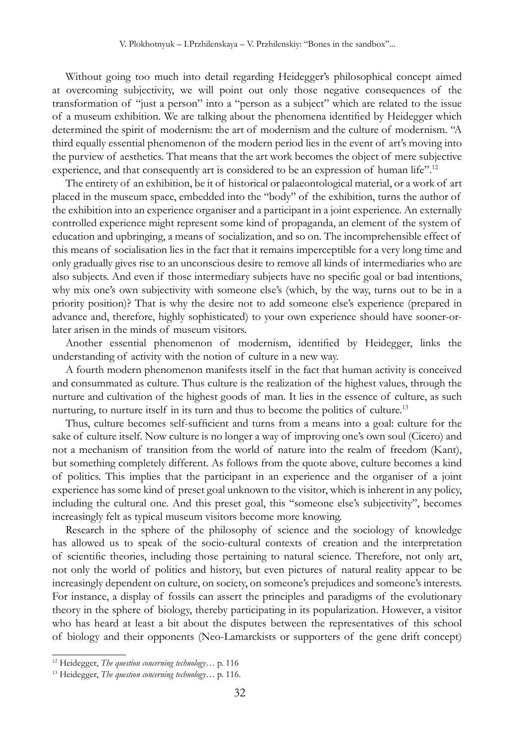Without going too much into detail regarding Heidegger's philosophical concept aimed at overcoming subjectivity, we will point out only those negative consequences of the transformation of "just a person" into a "person as a subject" which are related to the issue of a museum exhibition. We are talking about the phenomena identified by Heidegger which determined the spirit of modernism: the art of modernism and the culture of modernism. "A third equally essential phenomenon of the modern period lies in the event of art's moving into the purview of aesthetics. That means that the art work becomes the object of mere subjective experience, and that consequently art is considered to be an expression of human life".<sup>12</sup>

The entirety of an exhibition, be it of historical or palaeontological material, or a work of art placed in the museum space, embedded into the "body" of the exhibition, turns the author of the exhibition into an experience organiser and a participant in a joint experience. An externally controlled experience might represent some kind of propaganda, an element of the system of education and upbringing, a means of socialization, and so on. The incomprehensible effect of this means of socialisation lies in the fact that it remains imperceptible for a very long time and only gradually gives rise to an unconscious desire to remove all kinds of intermediaries who are also subjects. And even if those intermediary subjects have no specific goal or bad intentions, why mix one's own subjectivity with someone else's (which, by the way, turns out to be in a priority position)? That is why the desire not to add someone else's experience (prepared in advance and, therefore, highly sophisticated) to your own experience should have sooner-orlater arisen in the minds of museum visitors.

Another essential phenomenon of modernism, identified by Heidegger, links the understanding of activity with the notion of culture in a new way.

A fourth modern phenomenon manifests itself in the fact that human activity is conceived and consummated as culture. Thus culture is the realization of the highest values, through the nurture and cultivation of the highest goods of man. It lies in the essence of culture, as such nurturing, to nurture itself in its turn and thus to become the politics of culture.<sup>13</sup>

Thus, culture becomes self-sufficient and turns from a means into a goal: culture for the sake of culture itself. Now culture is no longer a way of improving one's own soul (Cicero) and not a mechanism of transition from the world of nature into the realm of freedom (Kant), but something completely different. As follows from the quote above, culture becomes a kind of politics. This implies that the participant in an experience and the organiser of a joint experience has some kind of preset goal unknown to the visitor, which is inherent in any policy, including the cultural one. And this preset goal, this "someone else's subjectivity", becomes increasingly felt as typical museum visitors become more knowing.

Research in the sphere of the philosophy of science and the sociology of knowledge has allowed us to speak of the socio-cultural contexts of creation and the interpretation of scientific theories, including those pertaining to natural science. Therefore, not only art, not only the world of politics and history, but even pictures of natural reality appear to be increasingly dependent on culture, on society, on someone's prejudices and someone's interests. For instance, a display of fossils can assert the principles and paradigms of the evolutionary theory in the sphere of biology, thereby participating in its popularization. However, a visitor who has heard at least a bit about the disputes between the representatives of this school of biology and their opponents (Neo-Lamarckists or supporters of the gene drift concept)

<sup>12</sup> Heidegger, *The question concerning technology*… p. 116

<sup>13</sup> Heidegger, *The question concerning technology*… p. 116.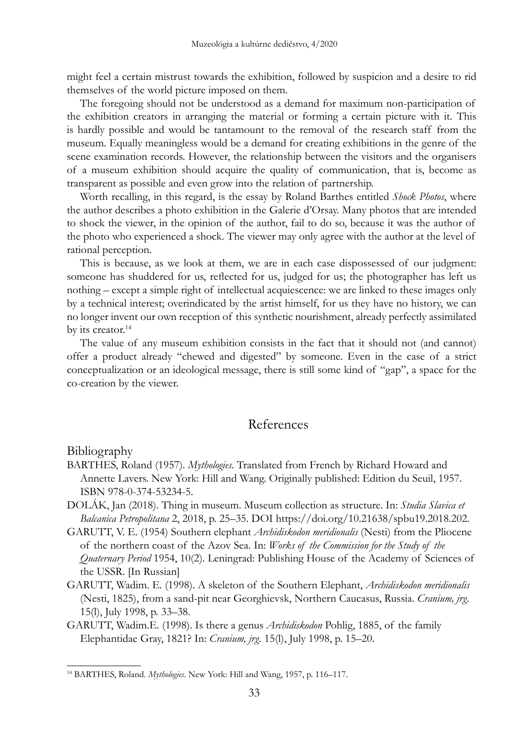might feel a certain mistrust towards the exhibition, followed by suspicion and a desire to rid themselves of the world picture imposed on them.

The foregoing should not be understood as a demand for maximum non-participation of the exhibition creators in arranging the material or forming a certain picture with it. This is hardly possible and would be tantamount to the removal of the research staff from the museum. Equally meaningless would be a demand for creating exhibitions in the genre of the scene examination records. However, the relationship between the visitors and the organisers of a museum exhibition should acquire the quality of communication, that is, become as transparent as possible and even grow into the relation of partnership.

Worth recalling, in this regard, is the essay by Roland Barthes entitled *Shock Photos*, where the author describes a photo exhibition in the Galerie d'Orsay. Many photos that are intended to shock the viewer, in the opinion of the author, fail to do so, because it was the author of the photo who experienced a shock. The viewer may only agree with the author at the level of rational perception.

This is because, as we look at them, we are in each case dispossessed of our judgment: someone has shuddered for us, reflected for us, judged for us; the photographer has left us nothing – except a simple right of intellectual acquiescence: we are linked to these images only by a technical interest; overindicated by the artist himself, for us they have no history, we can no longer invent our own reception of this synthetic nourishment, already perfectly assimilated by its creator.<sup>14</sup>

The value of any museum exhibition consists in the fact that it should not (and cannot) offer a product already "chewed and digested" by someone. Even in the case of a strict conceptualization or an ideological message, there is still some kind of "gap", a space for the co-creation by the viewer.

## References

Bibliography

- BARTHES, Roland (1957). *Mythologies*. Translated from French by Richard Howard and Annette Lavers. New York: Hill and Wang. Originally published: Edition du Seuil, 1957. ISBN 978-0-374-53234-5.
- Dolák, Jan (2018). Thing in museum. Museum collection as structure. In: *Studia Slavica et Balcanica Petropolitana* 2, 2018, p. 25–35. DOI https://doi.org/10.21638/spbu19.2018.202.
- GARUTT, V. E. (1954) Southern elephant *Archidiskodon meridionalis* (Nesti) from the Pliocene of the northern coast of the Azov Sea. In: *Works of the Commission for the Study of the Quaternary Period* 1954, 10(2). Leningrad: Publishing House of the Academy of Sciences of the USSR. [In Russian]
- GARUTT, Wadim. E. (1998). A skeleton of the Southern Elephant, *Archidiskodon meridionalis* (Nesti, 1825), from a sand-pit near Georghievsk, Northern Caucasus, Russia. *Cranium, jrg*. 15(l), July 1998, p. 33–38.
- GARUTT, Wadim.E. (1998). Is there a genus *Archidiskodon* Pohlig, 1885, of the family Elephantidae Gray, 1821? In: *Cranium, jrg.* 15(l), July 1998, p. 15–20.

<sup>14</sup> BARTHES, Roland. *Mythologies*. New York: Hill and Wang, 1957, p. 116–117.